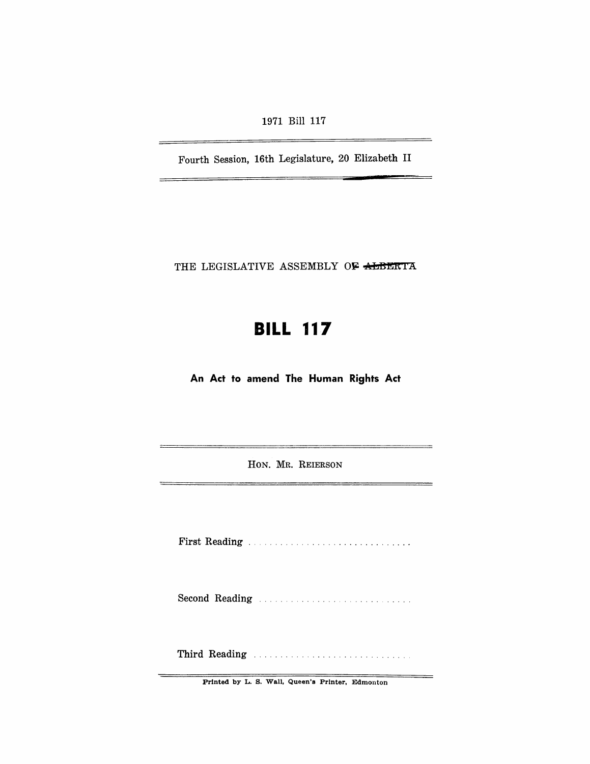1971 Bill 117

Fourth Session, 16th Legislature, 20 Elizabeth II

THE LEGISLATIVE ASSEMBLY OF ALBERTA

# **BILL 117**

**An Act to amend The Human Rights Act** 

HON. MR. REIERSON

First Reading ..

Second Reading ....................... . ... .

Third Reading ............................ .

Printed by L. S. Wall, Queen's Printer, Edmonton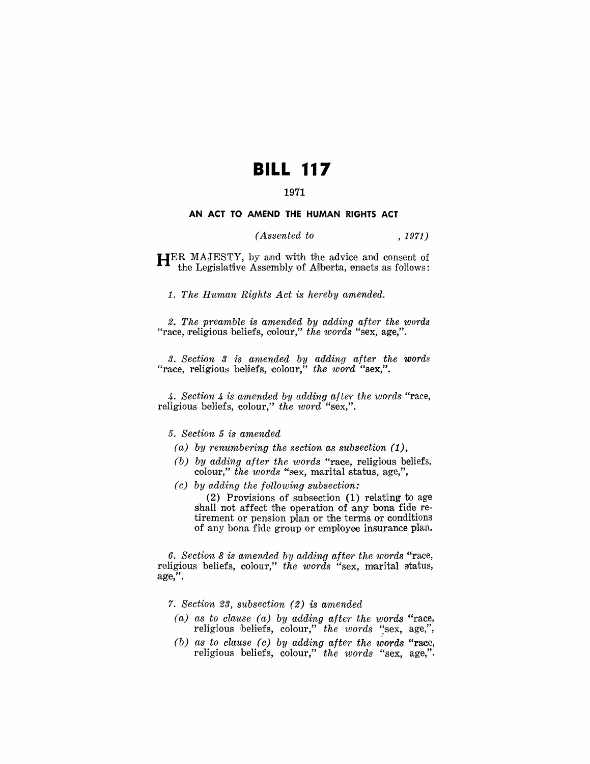# **BILL 117**

# 1971

#### **AN ACT TO AMEND THE HUMAN RIGHTS ACT**

## *(Assented to* , 1971)

HER MAJESTY, by and with the advice and consent of the Legislative Assembly of Alberta, enacts as follows:

1. *The Human Rights Act is hereby amended.* 

*2. The preamble is amended by adding after the words*  "race, religious beliefs, colour," the words "sex, age,".

*3. Section* 3 *is antended by adding after the words* "race, religious beliefs, colour," the word "sex,".

4. *Section* 4 *is amended by adding after the words* "race, religious beliefs, colour," the word "sex,".

#### *5. Section* 5 *is amended*

- *(a) by renumbering the section as subsection (1),*
- *(b) by adding after the words* "race, religious beliefs, colour," the words "sex, marital status, age,",
- *(c) by adding the fdllowing subsection:*

 $(2)$  Provisions of subsection  $(1)$  relating to age shall not affect the operation of any bona fide retirement or pension plan or the terms or conditions of any bona fide group or employee insurance plan.

6. *Section* 8 *is amended by adding after the words* "race, religious beliefs, colour," the words "sex, marital status, age,".

*7. Section* 23, *subsection* (2) *is amended* 

- *(a) as to clause (a) by adding after the words* "race, religious beliefs, colour," the words "sex, age,",
- *(b) as to clause (c) by adding after the words* "race, religious beliefs, colour," *the words* "sex, age,".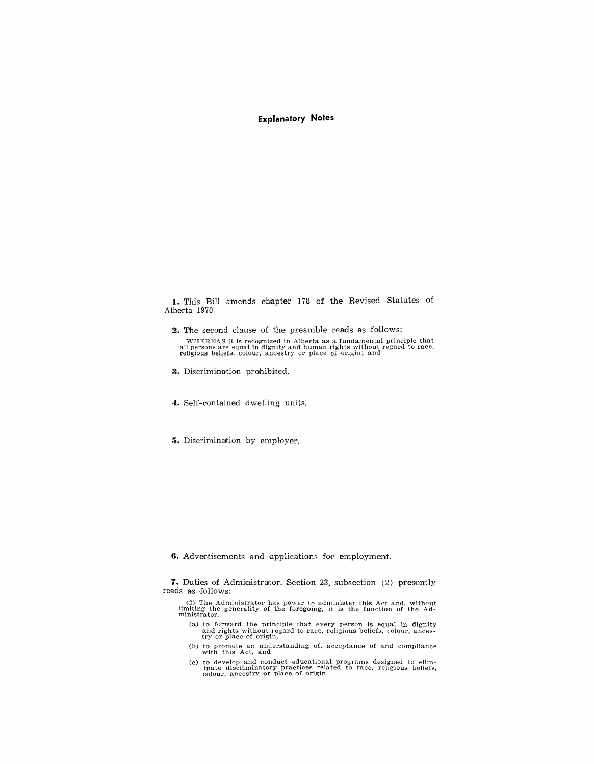### **Expla natory Notes**

1. This Bill amends chapter 178 of the Revised Statutes of Alberta 1970.

**2.** The second clause of the preamble reads as follows: WHEREAS it is recognized in Alberta as a fundamental principle that aU persons are equal in dignity and human rights without regard to race, religious beliefs, colour, ancestry or place of origin; and

3. Discrimination prohibited.

4. Self-contained dwelling units.

5. Discrimination by employer.

6. Advertisements and applications for employment.

7. Duties of Administrator. Section 23, subsection (2) presently reads as follows:

(2) The Administrator has power to administer this Act and, without limiting the generality of the foregoing, it is the function of the Ad-ministrator,

- (a) to forward the principle that every person is equal in dignity and rights without regard to race, religious beliefs, colour, ances-<br>try or place of origin,
- (b) to promote an understanding of, acceptance of and compliance with this Act, and
- (c) to develop and conduct educational programs designed to elim-inate discriminatory practices related to race, religious beliefs, colour, ancestry or place of origin.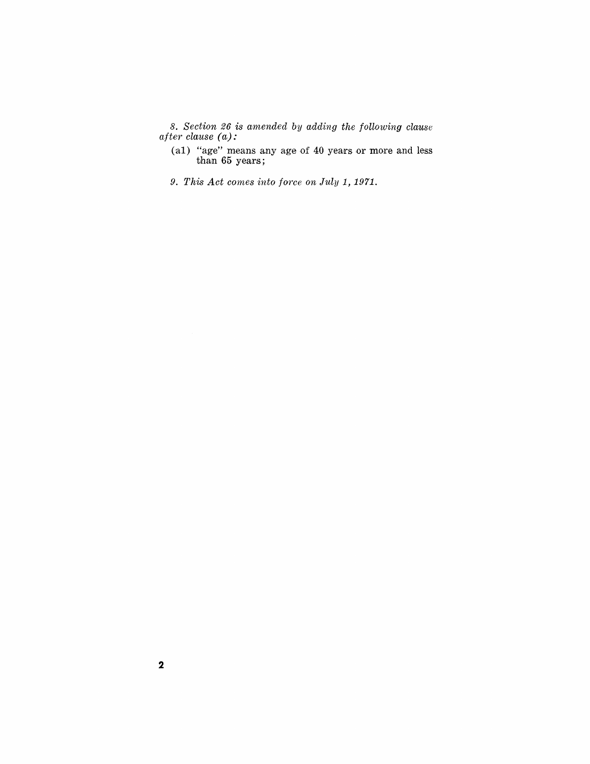8. *Section* 26 *is amended by adding the following clause after clause (a):* 

- (a1) "age" means any age of 40 years or more and less than **65** years;
- 9. This Act comes into force on July 1, 1971.